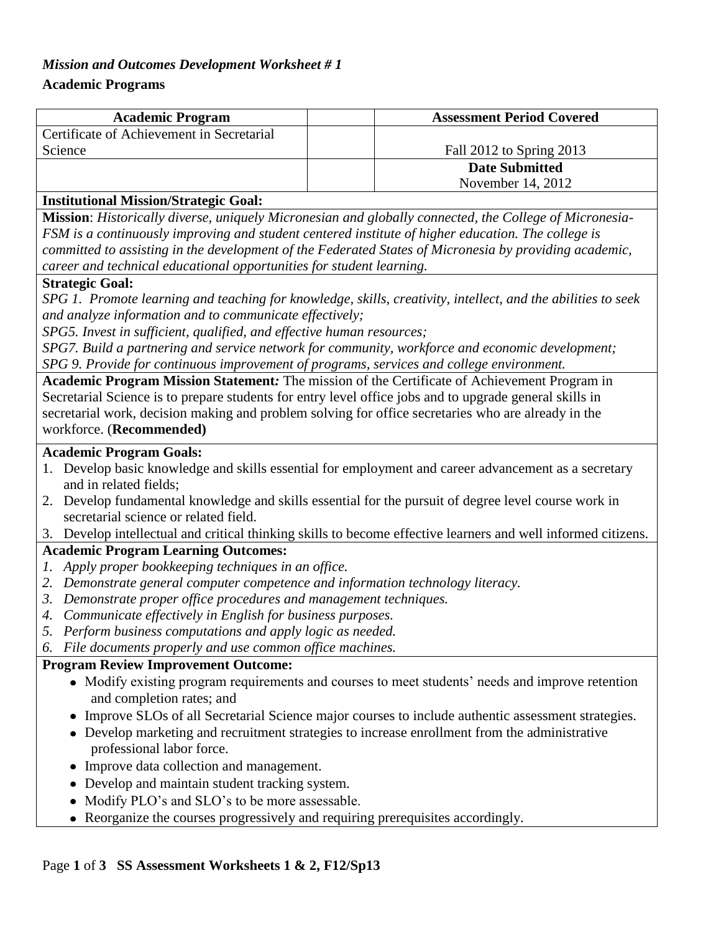### *Mission and Outcomes Development Worksheet # 1*

### **Academic Programs**

| <b>Academic Program</b>                   | <b>Assessment Period Covered</b> |  |
|-------------------------------------------|----------------------------------|--|
| Certificate of Achievement in Secretarial |                                  |  |
| Science                                   | Fall 2012 to Spring 2013         |  |
|                                           | <b>Date Submitted</b>            |  |
|                                           | November 14, 2012                |  |

#### **Institutional Mission/Strategic Goal:**

**Mission**: *Historically diverse, uniquely Micronesian and globally connected, the College of Micronesia-FSM is a continuously improving and student centered institute of higher education. The college is committed to assisting in the development of the Federated States of Micronesia by providing academic, career and technical educational opportunities for student learning.*

#### **Strategic Goal:**

*SPG 1. Promote learning and teaching for knowledge, skills, creativity, intellect, and the abilities to seek and analyze information and to communicate effectively;*

*SPG5. Invest in sufficient, qualified, and effective human resources;* 

*SPG7. Build a partnering and service network for community, workforce and economic development; SPG 9. Provide for continuous improvement of programs, services and college environment.*

**Academic Program Mission Statement***:* The mission of the Certificate of Achievement Program in Secretarial Science is to prepare students for entry level office jobs and to upgrade general skills in secretarial work, decision making and problem solving for office secretaries who are already in the workforce. (**Recommended)**

### **Academic Program Goals:**

- 1. Develop basic knowledge and skills essential for employment and career advancement as a secretary and in related fields;
- 2. Develop fundamental knowledge and skills essential for the pursuit of degree level course work in secretarial science or related field.
- 3. Develop intellectual and critical thinking skills to become effective learners and well informed citizens.

### **Academic Program Learning Outcomes:**

- *1. Apply proper bookkeeping techniques in an office.*
- *2. Demonstrate general computer competence and information technology literacy.*
- *3. Demonstrate proper office procedures and management techniques.*
- *4. Communicate effectively in English for business purposes.*
- *5. Perform business computations and apply logic as needed.*
- *6. File documents properly and use common office machines.*

### **Program Review Improvement Outcome:**

- Modify existing program requirements and courses to meet students' needs and improve retention and completion rates; and
- Improve SLOs of all Secretarial Science major courses to include authentic assessment strategies.
- Develop marketing and recruitment strategies to increase enrollment from the administrative professional labor force.
- Improve data collection and management.
- Develop and maintain student tracking system.
- Modify PLO's and SLO's to be more assessable.
- Reorganize the courses progressively and requiring prerequisites accordingly.

### Page **1** of **3 SS Assessment Worksheets 1 & 2, F12/Sp13**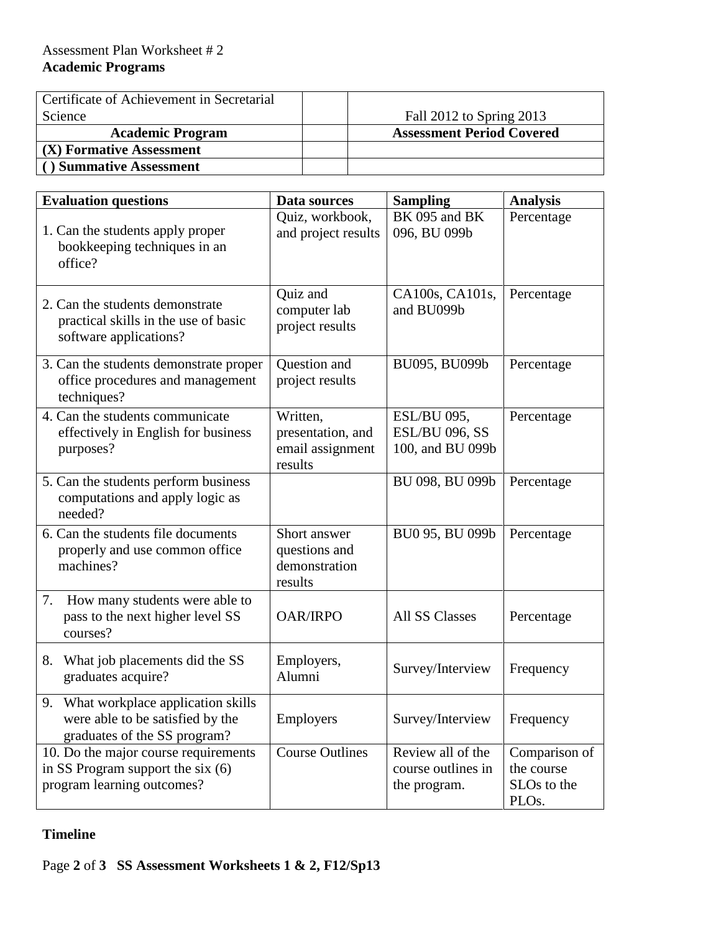| Certificate of Achievement in Secretarial |                                  |
|-------------------------------------------|----------------------------------|
| Science                                   | Fall 2012 to Spring 2013         |
| <b>Academic Program</b>                   | <b>Assessment Period Covered</b> |
| (X) Formative Assessment                  |                                  |
| <b>Summative Assessment</b>               |                                  |

| <b>Evaluation questions</b>                                                                              | Data sources                                                 | <b>Sampling</b>                                                 | <b>Analysis</b>                                                              |
|----------------------------------------------------------------------------------------------------------|--------------------------------------------------------------|-----------------------------------------------------------------|------------------------------------------------------------------------------|
| 1. Can the students apply proper<br>bookkeeping techniques in an<br>office?                              | Quiz, workbook,<br>and project results                       | BK 095 and BK<br>096, BU 099b                                   | Percentage                                                                   |
| 2. Can the students demonstrate<br>practical skills in the use of basic<br>software applications?        | Quiz and<br>computer lab<br>project results                  | CA100s, CA101s,<br>and BU099b                                   | Percentage                                                                   |
| 3. Can the students demonstrate proper<br>office procedures and management<br>techniques?                | Question and<br>project results                              | BU095, BU099b                                                   | Percentage                                                                   |
| 4. Can the students communicate<br>effectively in English for business<br>purposes?                      | Written,<br>presentation, and<br>email assignment<br>results | <b>ESL/BU 095,</b><br><b>ESL/BU 096, SS</b><br>100, and BU 099b | Percentage                                                                   |
| 5. Can the students perform business<br>computations and apply logic as<br>needed?                       |                                                              | BU 098, BU 099b                                                 | Percentage                                                                   |
| 6. Can the students file documents<br>properly and use common office<br>machines?                        | Short answer<br>questions and<br>demonstration<br>results    | BU0 95, BU 099b                                                 | Percentage                                                                   |
| How many students were able to<br>7.<br>pass to the next higher level SS<br>courses?                     | <b>OAR/IRPO</b>                                              | <b>All SS Classes</b>                                           | Percentage                                                                   |
| What job placements did the SS<br>8.<br>graduates acquire?                                               | Employers,<br>Alumni                                         | Survey/Interview                                                | Frequency                                                                    |
| 9. What workplace application skills<br>were able to be satisfied by the<br>graduates of the SS program? | Employers                                                    | Survey/Interview   Frequency                                    |                                                                              |
| 10. Do the major course requirements<br>in SS Program support the six (6)<br>program learning outcomes?  | <b>Course Outlines</b>                                       | Review all of the<br>course outlines in<br>the program.         | Comparison of<br>the course<br>SLO <sub>s</sub> to the<br>PLO <sub>s</sub> . |

## **Timeline**

# Page **2** of **3 SS Assessment Worksheets 1 & 2, F12/Sp13**